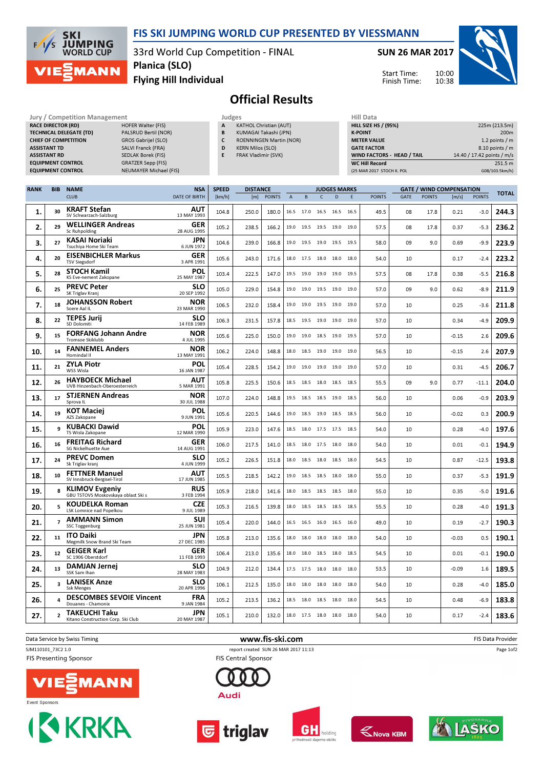

## FIS SKI JUMPING WORLD CUP PRESENTED BY VIESSMANN

33rd World Cup Competition - FINAL

SUN 26 MAR 2017

Start Time: Finish Time:



Flying Hill Individual Planica (SLO)

## Official Results

Jury / Competition Management<br>RACE DIRECTOR (RD) HOFER Walter (FIS) **RACE DIRECTOR (RD)** TECHNICAL DELEGATE (TD) PALSRUD Bertil (NOR) CHIEF OF COMPETITION GROS Gabrijel (SLO) ASSISTANT TD SALVI Franck (FRA) ASSISTANT RD SEDLAK Borek (FIS) EQUIPMENT CONTROL GRATZER Sepp (FIS) EQUIPMENT CONTROL NEUMAYER Michael (FIS)

|--|

- A KATHOL Christian (AUT) B KUMAGAI Takashi (JPN)
- C ROENNINGEN Martin (NOR)
- D KERN Milos (SLO)
- E FRAK Vladimir (SVK)

| Hill Data                   |                            |
|-----------------------------|----------------------------|
| <b>HILL SIZE HS / (95%)</b> | 225m (213.5m)              |
| <b>K-POINT</b>              | 200 <sub>m</sub>           |
| <b>METER VALUE</b>          | 1.2 points $/m$            |
| <b>GATE FACTOR</b>          | 8.10 points / m            |
| WIND FACTORS - HEAD / TAIL  | 14.40 / 17.42 points / m/s |
| <b>WC Hill Record</b>       | 251.5 m                    |
| (25 MAR 2017 STOCH K. POL   | G08/103.5km/h)             |

10:00

| <b>RANK</b> | <b>BIB</b>     | <b>NAME</b>                                                  | <b>NSA</b>                | <b>SPEED</b><br><b>DISTANCE</b><br><b>JUDGES MARKS</b> |       |               |              |           | <b>GATE / WIND COMPENSATION</b> |           |      |               | <b>TOTAL</b> |               |         |               |       |
|-------------|----------------|--------------------------------------------------------------|---------------------------|--------------------------------------------------------|-------|---------------|--------------|-----------|---------------------------------|-----------|------|---------------|--------------|---------------|---------|---------------|-------|
|             |                | <b>CLUB</b>                                                  | <b>DATE OF BIRTH</b>      | [km/h]                                                 | [m]   | <b>POINTS</b> | $\mathsf{A}$ | B         | $\mathsf{C}$                    | D         | E    | <b>POINTS</b> | <b>GATE</b>  | <b>POINTS</b> | [m/s]   | <b>POINTS</b> |       |
| 1.          | 30             | <b>KRAFT Stefan</b><br>SV Schwarzach-Salzburg                | AUT<br>13 MAY 1993        | 104.8                                                  | 250.0 | 180.0         |              | 16.5 17.0 | 16.5 16.5 16.5                  |           |      | 49.5          | 08           | 17.8          | 0.21    | $-3.0$        | 244.3 |
| 2.          | 29             | <b>WELLINGER Andreas</b><br>Sc Ruhpolding                    | <b>GER</b><br>28 AUG 1995 | 105.2                                                  | 238.5 | 166.2         |              | 19.0 19.5 | 19.5 19.0 19.0                  |           |      | 57.5          | 08           | 17.8          | 0.37    | $-5.3$        | 236.2 |
| 3.          | 27             | <b>KASAI Noriaki</b><br>Tsuchiya Home Ski Team               | <b>JPN</b><br>6 JUN 1972  | 104.6                                                  | 239.0 | 166.8         | 19.0         | 19.5      | 19.0                            | 19.5 19.5 |      | 58.0          | 09           | 9.0           | 0.69    | $-9.9$        | 223.9 |
| 4.          | 20             | <b>EISENBICHLER Markus</b><br><b>TSV Siegsdorf</b>           | GER<br>3 APR 1991         | 105.6                                                  | 243.0 | 171.6         |              |           | 18.0 17.5 18.0 18.0 18.0        |           |      | 54.0          | 10           |               | 0.17    | $-2.4$        | 223.2 |
| 5.          | 28             | <b>STOCH Kamil</b><br>KS Eve-nement Zakopane                 | POL<br>25 MAY 1987        | 103.4                                                  | 222.5 | 147.0         |              | 19.5 19.0 | 19.0 19.0 19.5                  |           |      | 57.5          | 08           | 17.8          | 0.38    | $-5.5$        | 216.8 |
| 6.          | 25             | <b>PREVC Peter</b><br>SK Triglav Kranj                       | <b>SLO</b><br>20 SEP 1992 | 105.0                                                  | 229.0 | 154.8         | 19.0         | 19.0      | 19.5                            | 19.0      | 19.0 | 57.0          | 09           | 9.0           | 0.62    | $-8.9$        | 211.9 |
| 7.          | 18             | <b>JOHANSSON Robert</b><br>Soere Aal IL                      | <b>NOR</b><br>23 MAR 1990 | 106.5                                                  | 232.0 | 158.4         |              |           | 19.0 19.0 19.5 19.0 19.0        |           |      | 57.0          | 10           |               | 0.25    | $-3.6$        | 211.8 |
| 8.          | 22             | <b>TEPES Jurij</b><br>SD Dolomiti                            | <b>SLO</b><br>14 FEB 1989 | 106.3                                                  | 231.5 | 157.8         |              | 18.5 19.5 | 19.0                            | 19.0 19.0 |      | 57.0          | 10           |               | 0.34    | $-4.9$        | 209.9 |
| 9.          | 15             | <b>FORFANG Johann Andre</b><br>Tromsoe Skiklubb              | <b>NOR</b><br>4 JUL 1995  | 105.6                                                  | 225.0 | 150.0         |              |           | 19.0 19.0 18.5 19.0 19.5        |           |      | 57.0          | 10           |               | $-0.15$ | 2.6           | 209.6 |
| 10.         | 14             | <b>FANNEMEL Anders</b><br>Hornindal II                       | <b>NOR</b><br>13 MAY 1991 | 106.2                                                  | 224.0 | 148.8         | 18.0         | 18.5      | 19.0                            | 19.0      | 19.0 | 56.5          | 10           |               | $-0.15$ | 2.6           | 207.9 |
| 11.         | 21             | <b>ZYLA Piotr</b><br>WSS Wisla                               | POL<br>16 JAN 1987        | 105.4                                                  | 228.5 | 154.2         | 19.0         | 19.0      | 19.0                            | 19.0      | 19.0 | 57.0          | 10           |               | 0.31    | $-4.5$        | 206.7 |
| 12.         | 26             | <b>HAYBOECK Michael</b><br>UVB Hinzenbach-Oberoesterreich    | <b>AUT</b><br>5 MAR 1991  | 105.8                                                  | 225.5 | 150.6         |              | 18.5 18.5 | 18.0 18.5 18.5                  |           |      | 55.5          | 09           | 9.0           | 0.77    | $-11.1$       | 204.0 |
| 13.         | 17             | <b>STJERNEN Andreas</b><br>Sprova IL                         | <b>NOR</b><br>30 JUL 1988 | 107.0                                                  | 224.0 | 148.8         |              | 19.5 18.5 | 18.5 19.0 18.5                  |           |      | 56.0          | 10           |               | 0.06    | $-0.9$        | 203.9 |
| 14.         | 19             | <b>KOT Maciej</b><br>AZS Zakopane                            | POL<br>9 JUN 1991         | 105.6                                                  | 220.5 | 144.6         |              | 19.0 18.5 | 19.0 18.5 18.5                  |           |      | 56.0          | 10           |               | $-0.02$ | 0.3           | 200.9 |
| 15.         | q              | <b>KUBACKI Dawid</b><br>TS Wisla Zakopane                    | POL<br>12 MAR 1990        | 105.9                                                  | 223.0 | 147.6         |              | 18.5 18.0 | 17.5 17.5 18.5                  |           |      | 54.0          | 10           |               | 0.28    | $-4.0$        | 197.6 |
| 16.         | 16             | <b>FREITAG Richard</b><br>SG Nickelhuette Aue                | GER<br>14 AUG 1991        | 106.0                                                  | 217.5 | 141.0         | 18.5         | 18.0      | 17.5                            | 18.0      | 18.0 | 54.0          | 10           |               | 0.01    | $-0.1$        | 194.9 |
| 17.         | 24             | <b>PREVC Domen</b><br>Sk Triglav kranj                       | <b>SLO</b><br>4 JUN 1999  | 105.2                                                  | 226.5 | 151.8         |              |           | 18.0 18.5 18.0 18.5 18.0        |           |      | 54.5          | 10           |               | 0.87    | $-12.5$       | 193.8 |
| 18.         | 10             | <b>FETTNER Manuel</b><br>SV Innsbruck-Bergisel-Tirol         | AUT<br>17 JUN 1985        | 105.5                                                  | 218.5 | 142.2         |              | 19.0 18.5 | 18.5 18.0                       |           | 18.0 | 55.0          | 10           |               | 0.37    | $-5.3$        | 191.9 |
| 19.         | 8              | <b>KLIMOV Evgeniy</b><br>GBU TSTOVS Moskovskaya oblast Ski s | <b>RUS</b><br>3 FEB 1994  | 105.9                                                  | 218.0 | 141.6         | 18.0         | 18.5      | 18.5 18.5 18.0                  |           |      | 55.0          | 10           |               | 0.35    | $-5.0$        | 191.6 |
| 20.         | 5              | <b>KOUDELKA Roman</b><br><b>LSK Lomnice nad Popelkou</b>     | <b>CZE</b><br>9 JUL 1989  | 105.3                                                  | 216.5 | 139.8         |              |           | 18.0 18.5 18.5 18.5 18.5        |           |      | 55.5          | 10           |               | 0.28    | $-4.0$        | 191.3 |
| 21.         | $\overline{7}$ | <b>AMMANN Simon</b><br>SSC Toggenburg                        | SUI<br>25 JUN 1981        | 105.4                                                  | 220.0 | 144.0         |              | 16.5 16.5 | 16.0                            | 16.5 16.0 |      | 49.0          | 10           |               | 0.19    | $-2.7$        | 190.3 |
| 22.         | 11             | <b>ITO Daiki</b><br>Megmilk Snow Brand Ski Team              | <b>JPN</b><br>27 DEC 1985 | 105.8                                                  | 213.0 | 135.6         |              | 18.0 18.0 | 18.0 18.0 18.0                  |           |      | 54.0          | 10           |               | $-0.03$ | 0.5           | 190.1 |
| 23.         | 12             | <b>GEIGER Karl</b><br>SC 1906 Oberstdorf                     | GER<br>11 FEB 1993        | 106.4                                                  | 213.0 | 135.6         |              | 18.0 18.0 | 18.5 18.0 18.5                  |           |      | 54.5          | 10           |               | 0.01    | $-0.1$        | 190.0 |
| 24.         | 13             | <b>DAMJAN Jernei</b><br>SSK Sam Ihan                         | <b>SLO</b><br>28 MAY 1983 | 104.9                                                  | 212.0 | 134.4         |              | 17.5 17.5 | 18.0                            | 18.0      | 18.0 | 53.5          | 10           |               | $-0.09$ | 1.6           | 189.5 |
| 25.         | 3              | <b>LANISEK Anze</b><br><b>Ssk Menges</b>                     | <b>SLO</b><br>20 APR 1996 | 106.1                                                  | 212.5 | 135.0         |              |           | 18.0 18.0 18.0 18.0 18.0        |           |      | 54.0          | 10           |               | 0.28    | $-4.0$        | 185.0 |
| 26.         | 4              | <b>DESCOMBES SEVOIE Vincent</b><br>Douanes - Chamonix        | <b>FRA</b><br>9 JAN 1984  | 105.2                                                  | 213.5 | 136.2         |              | 18.5 18.0 | 18.5 18.0                       |           | 18.0 | 54.5          | 10           |               | 0.48    | $-6.9$        | 183.8 |
| 27.         | $\overline{2}$ | TAKEUCHI Taku<br>Kitano Construction Corp. Ski Club          | <b>JPN</b><br>20 MAY 1987 | 105.1                                                  | 210.0 | 132.0         |              |           | 18.0 17.5 18.0 18.0 18.0        |           |      | 54.0          | 10           |               | 0.17    | $-2.4$        | 183.6 |

Data Service by Swiss Timing **and Service of the Constantine Www.fis-ski.com Www.fis-ski.com** FIS Data Provider SJM110101\_73C2 1.0 report created SUN 26 MAR 2017 11:13

**FIS Presenting Sponsor** 







Audi

**FIS Central Sponsor** 







**IAŠKO** 

Page 1of2